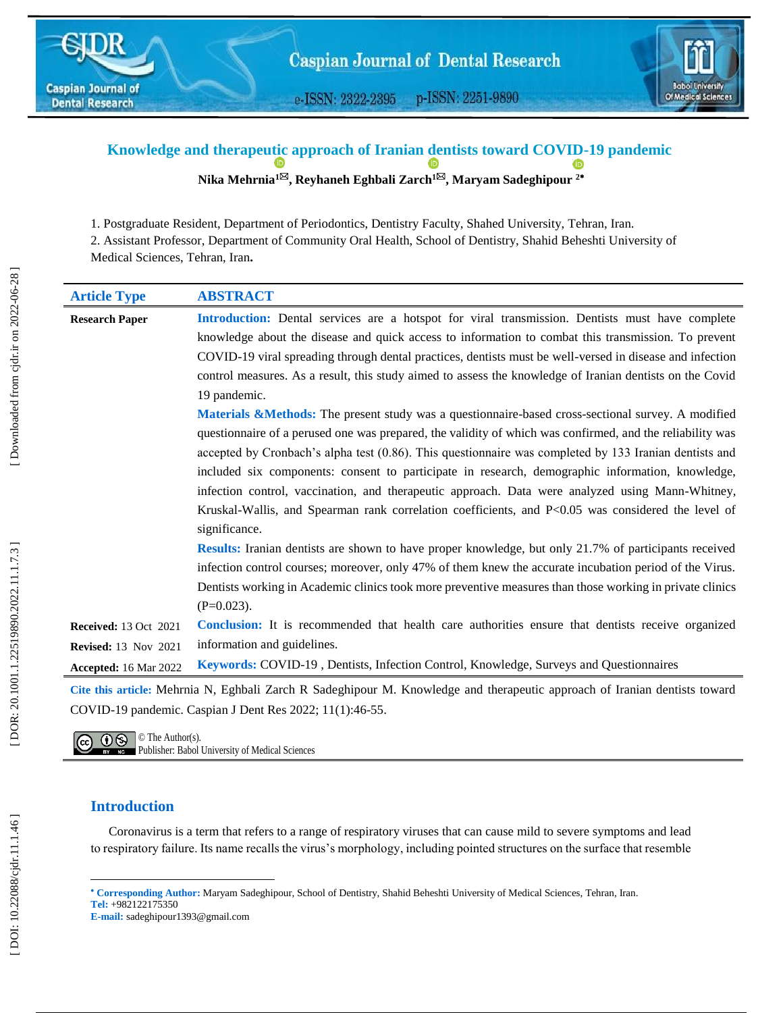

e-ISSN: 2322-2395 p-ISSN: 2251-9890



#### **Knowledge and therapeu[tic](https://orcid.org/0000-0002-4168-7262) approach of Iranian dentists toward COVID -19 pandemic ID ID Nika Mehrnia 1 , Reyhaneh Eghbali Zarch 1 , Maryam Sadeghipour 2**

1 . Post graduate Resident, Department of Periodontics, Dentistry Faculty, Shahed University, Tehran, Iran.

2. Assistant Professor, Department of Community Oral Health, School of Dentistry, Shahid Beheshti University of Medical Sciences, Tehran, Iran **.**

| <b>Article Type</b>                                         | <b>ABSTRACT</b>                                                                                                                                                                                                                                                                                                                                                                                                                                                                                                                                                                                                                                          |
|-------------------------------------------------------------|----------------------------------------------------------------------------------------------------------------------------------------------------------------------------------------------------------------------------------------------------------------------------------------------------------------------------------------------------------------------------------------------------------------------------------------------------------------------------------------------------------------------------------------------------------------------------------------------------------------------------------------------------------|
| <b>Research Paper</b>                                       | Introduction: Dental services are a hotspot for viral transmission. Dentists must have complete<br>knowledge about the disease and quick access to information to combat this transmission. To prevent<br>COVID-19 viral spreading through dental practices, dentists must be well-versed in disease and infection<br>control measures. As a result, this study aimed to assess the knowledge of Iranian dentists on the Covid<br>19 pandemic.                                                                                                                                                                                                           |
|                                                             | Materials &Methods: The present study was a questionnaire-based cross-sectional survey. A modified<br>questionnaire of a perused one was prepared, the validity of which was confirmed, and the reliability was<br>accepted by Cronbach's alpha test (0.86). This questionnaire was completed by 133 Iranian dentists and<br>included six components: consent to participate in research, demographic information, knowledge,<br>infection control, vaccination, and therapeutic approach. Data were analyzed using Mann-Whitney,<br>Kruskal-Wallis, and Spearman rank correlation coefficients, and P<0.05 was considered the level of<br>significance. |
|                                                             | Results: Iranian dentists are shown to have proper knowledge, but only 21.7% of participants received<br>infection control courses; moreover, only 47% of them knew the accurate incubation period of the Virus.<br>Dentists working in Academic clinics took more preventive measures than those working in private clinics<br>$(P=0.023)$ .                                                                                                                                                                                                                                                                                                            |
| <b>Received: 13 Oct 2021</b><br><b>Revised: 13 Nov 2021</b> | Conclusion: It is recommended that health care authorities ensure that dentists receive organized<br>information and guidelines.                                                                                                                                                                                                                                                                                                                                                                                                                                                                                                                         |
| Accepted: 16 Mar 2022                                       | Keywords: COVID-19, Dentists, Infection Control, Knowledge, Surveys and Questionnaires                                                                                                                                                                                                                                                                                                                                                                                                                                                                                                                                                                   |
|                                                             | Cite this article: Mehrnia N, Eghbali Zarch R Sadeghipour M. Knowledge and therapeutic approach of Iranian dentists toward<br>COVID-19 pandemic. Caspian J Dent Res 2022; 11(1):46-55.                                                                                                                                                                                                                                                                                                                                                                                                                                                                   |

 $\overline{(\mathbf{c}\mathbf{c})\ \ \mathbf{0}\ \ \mathbf{\mathbf{\mathbb{S}}}$   $\circ$  The Author(s). Publisher: Babol University of Medical Sciences

# **Introduction**

l

Coronavirus is a term that refers to a range of respiratory viruses that can cause mild to severe symptoms and lead to respiratory failure. Its name recalls the virus's morphology, including pointed structures on the surface that resemble

**E -mail:** sadeghipour1393@gmail.com

**Corresponding Author:** Maryam Sadeghipour, School of Dentistry, Shahid Beheshti University of Medical Sciences, Tehran, Iran. **Tel :** +982122175350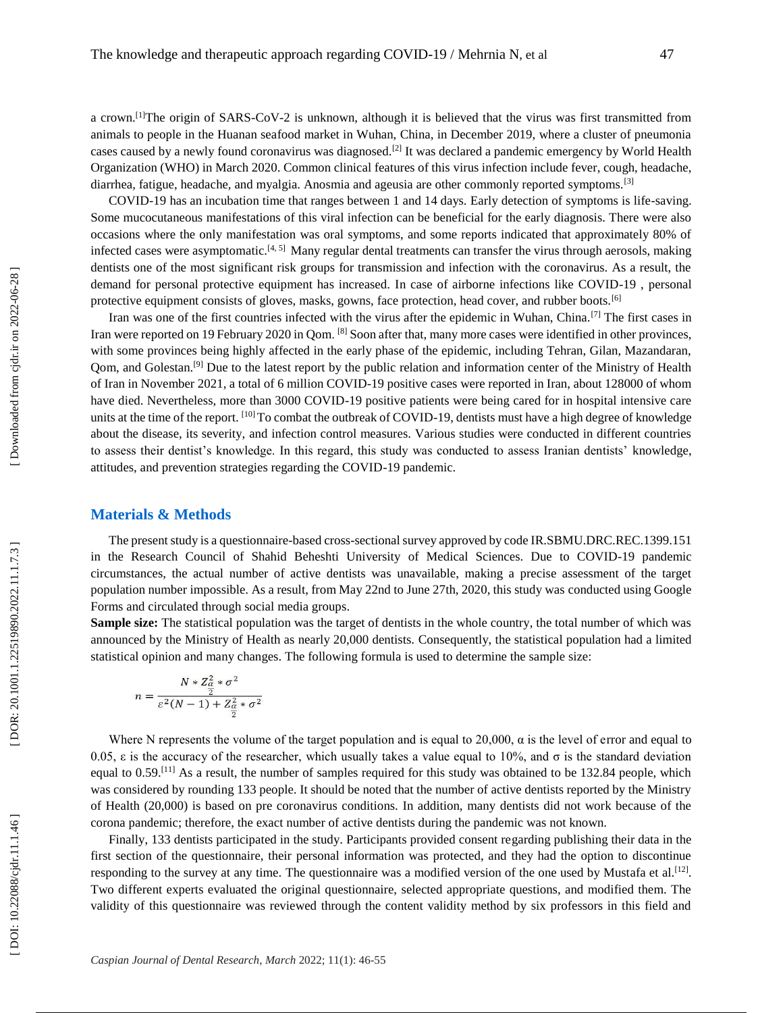a crown.<sup>[1]</sup>The origin of SARS-CoV-2 is unknown, although it is believed that the virus was first transmitted from animals to people in the Huanan seafood market in Wuhan, China, in December 2019, where a cluster of pneumonia cases caused by a newly found coronavirus was diagnosed.[2] It was declared a pandemic emergency by World Health Organization (WHO) in March 2020. Common clinical features of this virus infection include fever, cough, headache, diarrhea, fatigue, headache, and myalgia. Anosmia and ageusia are other commonly reported symptoms.<sup>[3]</sup>

COVID -19 has an incubation time that ranges between 1 and 14 days. Early detection of symptoms is life -saving. Some mucocutaneous manifestations of this viral infection can be beneficial for the early diagnosis. There were also occasions where the only manifestation was oral symptoms, and some reports indicated that approximately 80% of infected cases were asymptomatic.<sup>[4, 5]</sup> Many regular dental treatments can transfer the virus through aerosols, making dentists one of the most significant risk groups for transmission and infection with the coronavirus. As a result, the demand for personal protective equipment has increased. In case of airborne infections like COVID-19, personal protective equipment consists of gloves, masks, gowns, face protection, head cover, and rubber boots.<sup>[6]</sup>

Iran was one of the first countries infected with the virus after the epidemic in Wuhan, China.[7] The first cases in Iran were reported on 19 February 2020 in Qom. <sup>[8]</sup> Soon after that, many more cases were identified in other provinces, with some provinces being highly affected in the early phase of the epidemic, including Tehran, Gilan, Mazandaran, Qom, and Golestan.<sup>[9]</sup> Due to the latest report by the public relation and information center of the Ministry of Health of Iran in November 2021, a total of 6 million COVID-19 positive cases were reported in Iran, about 1 have died. Nevertheless, more than 3000 COVID -19 positive patients were being cared for in hospital intensive care units at the time of the report. [10] To combat the outbreak of COVID-19, dentists must have a high degree of knowledge about the disease, its severity, and infection control measures. Various studies were conducted in different countries to assess their dentist's knowledge. In this regard, this study was conducted to assess Iranian dentists' knowledge, attitudes, and prevention strategies regarding the COVID -19 pandemic.

## **Materials & Methods**

The present study is a questionnaire -based cross -sectional survey approved by code IR.SBMU.DRC.REC.1399.151 in the Research Council of Shahid Beheshti University of Medical Sciences. Due to COVID -19 pandemic circumstances, the actual number of active dentists was unavailable, making a precise assessment of the target population number impossible. As a result, from May 22nd to June 27th, 2020, this study was conducted using Google Forms and circulated through social media groups.

**Sample size:** The statistical population was the target of dentists in the whole country, the total number of which was announced by the Ministry of Health as nearly 20,000 dentists. Consequently, the statistical population had a limited statistical opinion and many changes. The following formula is used to determine the sample size:

$$
n = \frac{N * Z_{\alpha}^2 * \sigma^2}{\frac{Z}{\epsilon^2 (N-1) + Z_{\alpha}^2 * \sigma^2}}
$$

Where N represents the volume of the target population and is equal to 20,000,  $\alpha$  is the level of error and equal to 0.05,  $\varepsilon$  is the accuracy of the researcher, which usually takes a value equal to 10%, and  $\sigma$  is the standard deviation equal to 0.59.<sup>[11]</sup> As a result, the number of samples required for this study was obtained to be 132.84 people, which was considered by rounding 133 people. It should be noted that the number of active dentists reported by the Ministry of Health (20,000) is based on pre coronavirus conditions. In addition, many dentists did not work because of the corona pandemic; therefore, the exact number of active dentists during the pandemic was not known.

Finally, 133 dentists participated in the study. Participants provided consent regarding publishing their data in the first section of the questionnaire, their personal information was protected, and they had the option to discontinue responding to the survey at any time. The questionnaire was a modified version of the one used by Mustafa et al.<sup>[12]</sup>. Two different experts evaluated the original questionnaire, selected appropriate questions, and modified them. The validity of this questionnaire was reviewed through the content validity method by six professors in this field and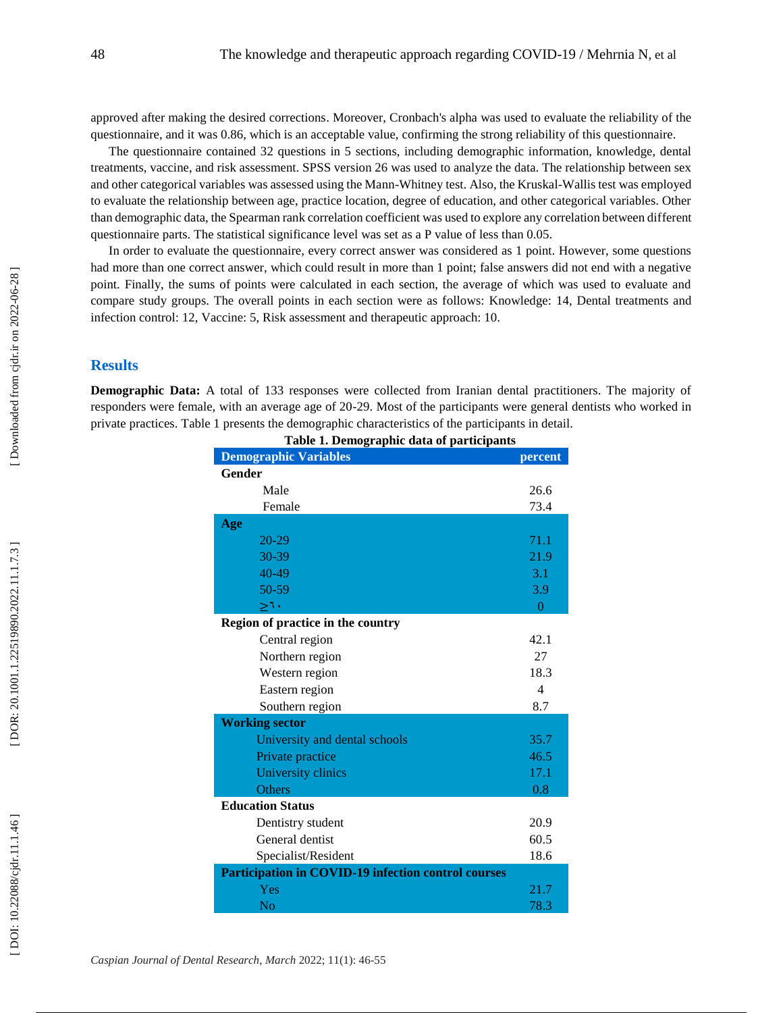approved after making the desired corrections. Moreover, Cronbach's alpha was used to evaluate the reliability of the questionnaire, and it was 0.86, which is an acceptable value, confirming the strong reliability of this questionnaire.

The questionnaire contained 32 questions in 5 sections, including demographic information, knowledge, dental treatments, vaccine, and risk assessment. SPSS version 26 was used to analyze the data. The relationship between sex and other categorical variables was assessed using the Mann -Whitney test. Also, the Kruskal -Wallis test was employed to evaluate the relationship between age, practice location, degree of education, and other categorical variables. Other than demographic data, the Spearman rank correlation coefficient was used to explore any correlation between different questionnaire parts. The statistical significance level was set as a P value of less than 0.05.

In order to evaluate the questionnaire, every correct answer was considered as 1 point. However, some questions had more than one correct answer, which could result in more than 1 point; false answers did not end with a negative point. Finally, the sums of points were calculated in each section, the average of which was used to evaluate and compare study groups. The overall points in each section were as follows: Knowledge: 14, Dental treatments and infection control: 12, Vaccine: 5, Risk assessment and therapeutic approach: 10.

## **Results**

**Demographic Data:** A total of 133 responses were collected from Iranian dental practitioners. The majority of responders were female, with an average age of 20-29. Most of the participants were general dentists who worked in private practices. Table 1 presents the demographic characteristics of the participants in detail.

| Table 1. Demographic data or participants                  |                |
|------------------------------------------------------------|----------------|
| <b>Demographic Variables</b>                               | percent        |
| <b>Gender</b>                                              |                |
| Male                                                       | 26.6           |
| Female                                                     | 73.4           |
| Age                                                        |                |
| 20-29                                                      | 71.1           |
| $30 - 39$                                                  | 21.9           |
| 40-49                                                      | 3.1            |
| 50-59                                                      | 3.9            |
| ≥1•                                                        | $\theta$       |
| Region of practice in the country                          |                |
| Central region                                             | 42.1           |
| Northern region                                            | 27             |
| Western region                                             | 18.3           |
| Eastern region                                             | $\overline{4}$ |
| Southern region                                            | 8.7            |
| <b>Working sector</b>                                      |                |
| University and dental schools                              | 35.7           |
| Private practice                                           | 46.5           |
| University clinics                                         | 17.1           |
| <b>Others</b>                                              | 0.8            |
| <b>Education Status</b>                                    |                |
| Dentistry student                                          | 20.9           |
| General dentist                                            | 60.5           |
| Specialist/Resident                                        | 18.6           |
| <b>Participation in COVID-19 infection control courses</b> |                |
| Yes                                                        | 21.7           |
| No                                                         | 78.3           |

**Table 1 . Demographic data of participants**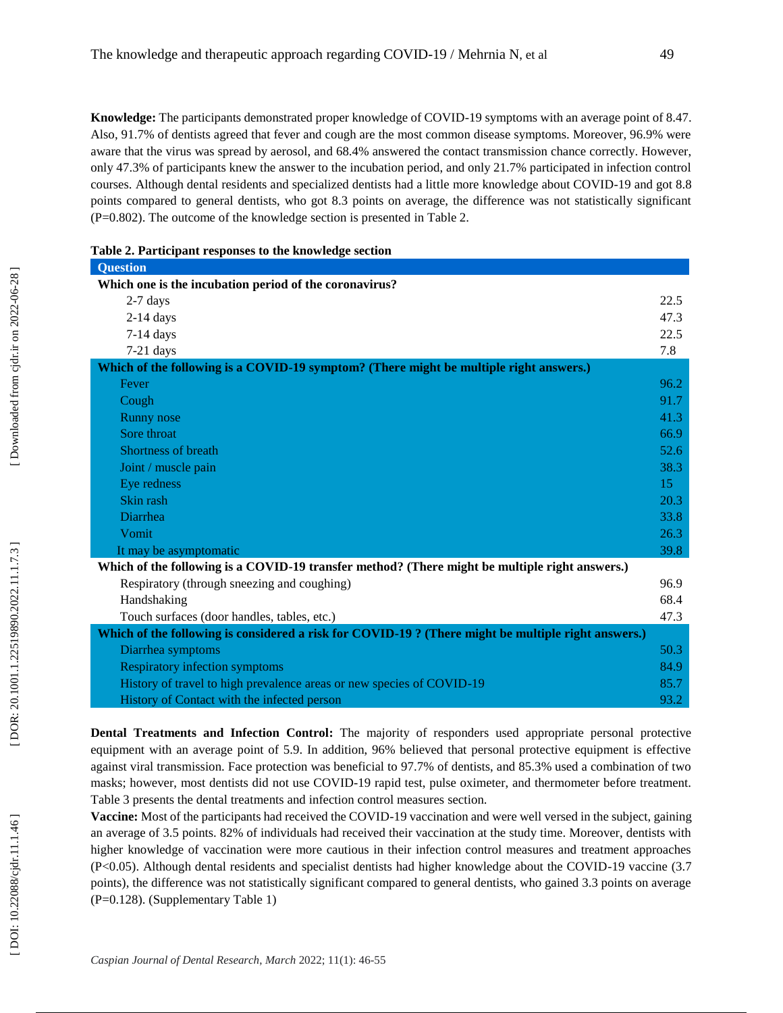**Knowledge:** The participants demonstrated proper knowledge of COVID -19 symptoms with an average point of 8.47. Also, 91.7% of dentists agreed that fever and cough are the most common disease symptoms. Moreover, 96.9% were aware that the virus was spread by aerosol, and 68.4% answered the contact transmission chance correctly. However, only 47.3% of participants knew the answer to the incubation period, and only 21.7% participated in infection control courses. Although dental residents and specialized dentists had a little more knowledge about COVID -19 and got 8.8 points compared to general dentists, who got 8.3 points on average, the difference was not statistically significant (P=0.802). The outcome of the knowledge section is presented in Table 2.

| Table 2. Participant responses to the knowledge section                                             |      |
|-----------------------------------------------------------------------------------------------------|------|
| <b>Question</b>                                                                                     |      |
| Which one is the incubation period of the coronavirus?                                              |      |
| $2-7$ days                                                                                          | 22.5 |
| $2-14$ days                                                                                         | 47.3 |
| $7-14$ days                                                                                         | 22.5 |
| $7-21$ days                                                                                         | 7.8  |
| Which of the following is a COVID-19 symptom? (There might be multiple right answers.)              |      |
| Fever                                                                                               | 96.2 |
| Cough                                                                                               | 91.7 |
| Runny nose                                                                                          | 41.3 |
| Sore throat                                                                                         | 66.9 |
| <b>Shortness of breath</b>                                                                          | 52.6 |
| Joint / muscle pain                                                                                 | 38.3 |
| Eye redness                                                                                         | 15   |
| Skin rash                                                                                           | 20.3 |
| Diarrhea                                                                                            | 33.8 |
| Vomit                                                                                               | 26.3 |
| It may be asymptomatic                                                                              | 39.8 |
| Which of the following is a COVID-19 transfer method? (There might be multiple right answers.)      |      |
| Respiratory (through sneezing and coughing)                                                         | 96.9 |
| Handshaking                                                                                         | 68.4 |
| Touch surfaces (door handles, tables, etc.)                                                         | 47.3 |
| Which of the following is considered a risk for COVID-19 ? (There might be multiple right answers.) |      |
| Diarrhea symptoms                                                                                   | 50.3 |
| <b>Respiratory infection symptoms</b>                                                               | 84.9 |
| History of travel to high prevalence areas or new species of COVID-19                               | 85.7 |
| History of Contact with the infected person                                                         | 93.2 |

**Dental Treatments and Infection Control:** The majority of responders used appropriate personal protective equipment with an average point of 5.9. In addition, 96% believed that personal protective equipment is effective against viral transmission. Face protection was beneficial to 97.7% of dentists, and 85.3% used a combination of two masks; however, most dentists did not use COVID -19 rapid test, pulse oximeter, and thermometer before treatment. Table 3 presents the dental treatments and infection control measures section.

Vaccine: Most of the participants had received the COVID-19 vaccination and were well versed in the subject, gaining an average of 3.5 points. 82% of individuals had received their vaccination at the study time. Moreover, dentists with higher knowledge of vaccination were more cautious in their infection control measures and treatment approaches (P<0.05). Although dental residents and specialist dentists had higher knowledge about the COVID -19 vaccine (3.7 points), the difference was not statistically significant compared to general dentists, who gained 3.3 points on average (P=0.128). (Supplementary Table 1)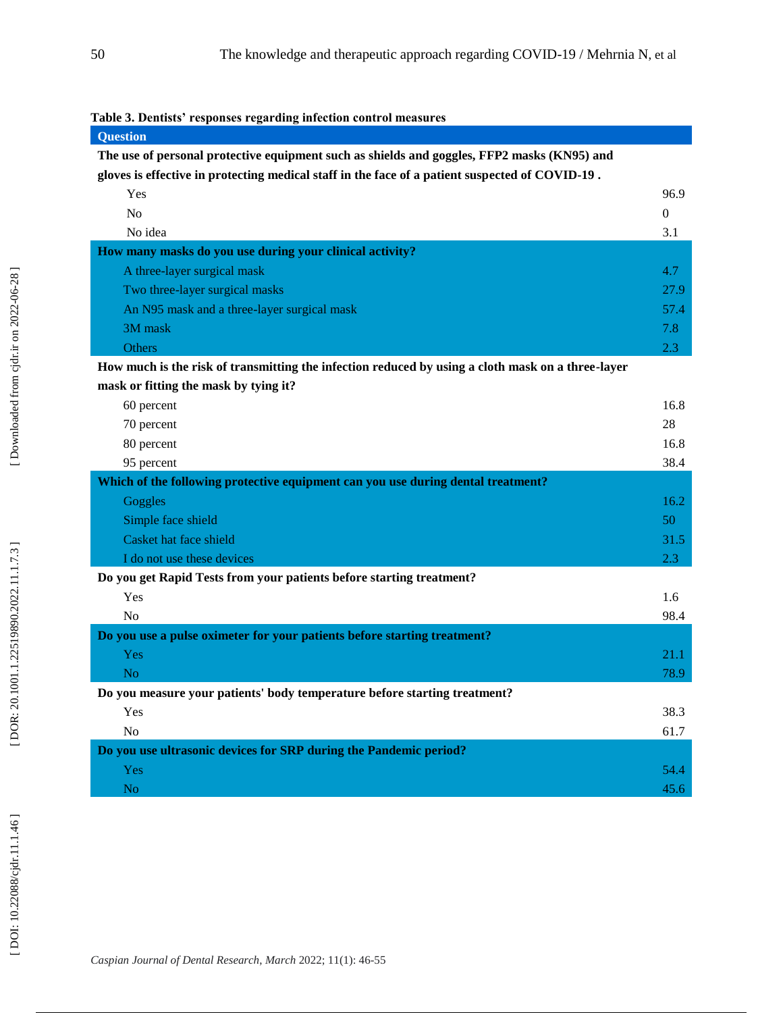|  | Table 3. Dentists' responses regarding infection control measures |  |  |  |  |  |
|--|-------------------------------------------------------------------|--|--|--|--|--|
|--|-------------------------------------------------------------------|--|--|--|--|--|

| <b>Question</b>                                                                                   |                |
|---------------------------------------------------------------------------------------------------|----------------|
| The use of personal protective equipment such as shields and goggles, FFP2 masks (KN95) and       |                |
| gloves is effective in protecting medical staff in the face of a patient suspected of COVID-19.   |                |
| Yes                                                                                               | 96.9           |
| N <sub>o</sub>                                                                                    | $\overline{0}$ |
| No idea                                                                                           | 3.1            |
| How many masks do you use during your clinical activity?                                          |                |
| A three-layer surgical mask                                                                       | 4.7            |
| Two three-layer surgical masks                                                                    | 27.9           |
| An N95 mask and a three-layer surgical mask                                                       | 57.4           |
| 3M mask                                                                                           | 7.8            |
| Others                                                                                            | 2.3            |
| How much is the risk of transmitting the infection reduced by using a cloth mask on a three-layer |                |
| mask or fitting the mask by tying it?                                                             |                |
| 60 percent                                                                                        | 16.8           |
| 70 percent                                                                                        | 28             |
| 80 percent                                                                                        | 16.8           |
| 95 percent                                                                                        | 38.4           |
| Which of the following protective equipment can you use during dental treatment?                  |                |
| Goggles                                                                                           | 16.2           |
| Simple face shield                                                                                | 50             |
| Casket hat face shield                                                                            | 31.5           |
| I do not use these devices                                                                        | 2.3            |
| Do you get Rapid Tests from your patients before starting treatment?                              |                |
| Yes                                                                                               | 1.6            |
| No                                                                                                | 98.4           |
| Do you use a pulse oximeter for your patients before starting treatment?                          |                |
| Yes                                                                                               | 21.1           |
| N <sub>o</sub>                                                                                    | 78.9           |
| Do you measure your patients' body temperature before starting treatment?                         |                |
| Yes                                                                                               | 38.3           |
| N <sub>o</sub>                                                                                    | 61.7           |
| Do you use ultrasonic devices for SRP during the Pandemic period?                                 |                |
| Yes                                                                                               | 54.4           |
| No                                                                                                | 45.6           |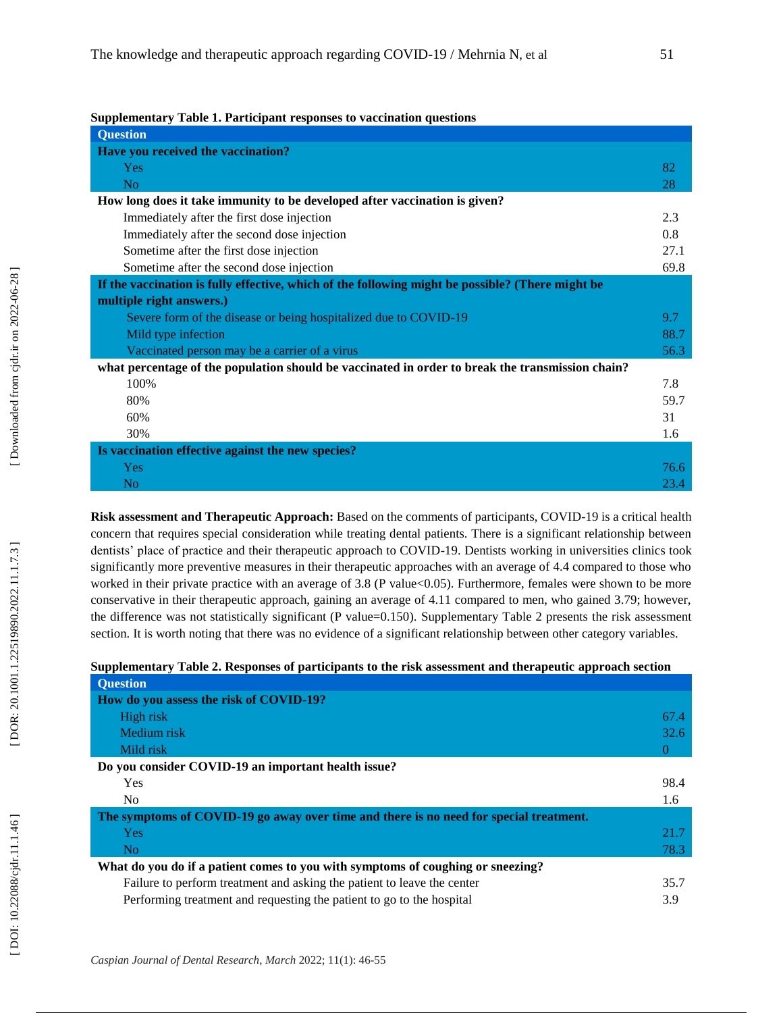| Supplementary Table 1. Participant responses to vaccination questions |
|-----------------------------------------------------------------------|
|-----------------------------------------------------------------------|

| <b>Question</b>                                                                                  |      |
|--------------------------------------------------------------------------------------------------|------|
| Have you received the vaccination?                                                               |      |
| Yes                                                                                              | 82   |
| N <sub>o</sub>                                                                                   | 28   |
| How long does it take immunity to be developed after vaccination is given?                       |      |
| Immediately after the first dose injection                                                       | 2.3  |
| Immediately after the second dose injection                                                      | 0.8  |
| Sometime after the first dose injection                                                          | 27.1 |
| Sometime after the second dose injection                                                         | 69.8 |
| If the vaccination is fully effective, which of the following might be possible? (There might be |      |
| multiple right answers.)                                                                         |      |
| Severe form of the disease or being hospitalized due to COVID-19                                 | 9.7  |
| Mild type infection                                                                              | 88.7 |
| Vaccinated person may be a carrier of a virus                                                    | 56.3 |
| what percentage of the population should be vaccinated in order to break the transmission chain? |      |
| 100%                                                                                             | 7.8  |
| 80%                                                                                              | 59.7 |
| 60%                                                                                              | 31   |
| 30%                                                                                              | 1.6  |
| Is vaccination effective against the new species?                                                |      |
| Yes                                                                                              | 76.6 |
| N <sub>o</sub>                                                                                   | 23.4 |

Risk assessment and Therapeutic Approach: Based on the comments of participants, COVID-19 is a critical health concern that requires special consideration while treating dental patients. There is a significant relationship between dentists' place of practice and their therapeutic approach to COVID -19. Dentists working in universities clinics took significantly more preventive measures in their therapeutic approaches with an average of 4.4 compared to those who worked in their private practice with an average of 3.8 (P value<0.05). Furthermore, females were shown to be more conservative in their therapeutic approach, gaining an average of 4.11 compared to men, who gained 3.79; however, the difference was not statistically significant (P value=0.150). Supplementary Table 2 presents the risk assessment section. It is worth noting that there was no evidence of a significant relationship between other category variables.

### **Supplementary Table 2. Responses of participants to the risk assessment and therapeutic approach section**

| <b>Question</b>                                                                        |      |
|----------------------------------------------------------------------------------------|------|
| How do you assess the risk of COVID-19?                                                |      |
| High risk                                                                              | 67.4 |
| Medium risk                                                                            | 32.6 |
| Mild risk                                                                              | O    |
| Do you consider COVID-19 an important health issue?                                    |      |
| <b>Yes</b>                                                                             | 98.4 |
| No                                                                                     | 1.6  |
| The symptoms of COVID-19 go away over time and there is no need for special treatment. |      |
| <b>Yes</b>                                                                             | 21.7 |
| N <sub>0</sub>                                                                         | 78.3 |
| What do you do if a patient comes to you with symptoms of coughing or sneezing?        |      |
| Failure to perform treatment and asking the patient to leave the center                | 35.7 |
| Performing treatment and requesting the patient to go to the hospital                  | 3.9  |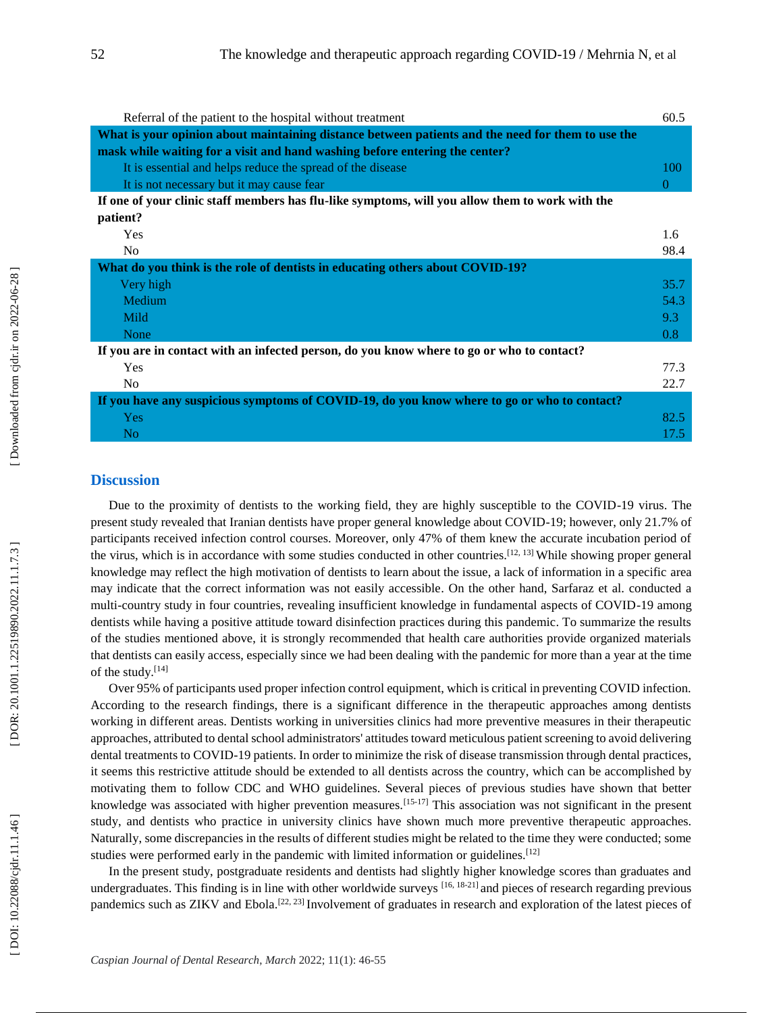| Referral of the patient to the hospital without treatment                                         | 60.5 |
|---------------------------------------------------------------------------------------------------|------|
| What is your opinion about maintaining distance between patients and the need for them to use the |      |
| mask while waiting for a visit and hand washing before entering the center?                       |      |
| It is essential and helps reduce the spread of the disease                                        | 100  |
| It is not necessary but it may cause fear                                                         | 0    |
| If one of your clinic staff members has flu-like symptoms, will you allow them to work with the   |      |
| patient?                                                                                          |      |
| Yes                                                                                               | 1.6  |
| N <sub>0</sub>                                                                                    | 98.4 |
| What do you think is the role of dentists in educating others about COVID-19?                     |      |
| Very high                                                                                         | 35.7 |
| Medium                                                                                            | 54.3 |
| Mild                                                                                              | 9.3  |
| None                                                                                              | 0.8  |
| If you are in contact with an infected person, do you know where to go or who to contact?         |      |
| Yes                                                                                               | 77.3 |
| N <sub>0</sub>                                                                                    | 22.7 |
| If you have any suspicious symptoms of COVID-19, do you know where to go or who to contact?       |      |
| <b>Yes</b>                                                                                        | 82.5 |
| N <sub>o</sub>                                                                                    | 17.5 |

#### **Discussion**

Due to the proximity of dentists to the working field, they are highly susceptible to the COVID -19 virus. The present study revealed that Iranian dentists have proper general knowledge about COVID -19; however, only 21.7% of participants received infection control courses. Moreover, only 47% of them knew the accurate incubation period of the virus, which is in accordance with some studies conducted in other countries.<sup>[12, 13]</sup> While showing proper general knowledge may reflect the high motivation of dentists to learn about the issue, a lack of information in a specific area may indicate that the correct information was not easily accessible. On the other hand, Sarfaraz et al. conducted a multi -country study in four countries, revealing insufficient knowledge in fundamental aspects of COVID -19 among dentists while having a positive attitude toward disinfection practices during this pandemic. To summarize the results of the studies mentioned above, it is strongly recommended that health care authorities provide organized materials that dentists can easily access, especially since we had been dealing with the pandemic for more than a year at the time of the study.[14]

Over 95% of participants used proper infection control equipment, which is critical in preventing COVID infection. According to the research findings, there is a significant difference in the therapeutic approaches among dentists working in different areas. Dentists working in universities clinics had more preventive measures in their therapeutic approaches, attributed to dental school administrators' attitudes toward meticulous patient screening to avoid delivering dental treatments to COVID -19 patients. In order to minimize the risk of disease transmission through dental practices, it seems this restrictive attitude should be extended to all dentists across the country, which can be accomplished by motivating them to follow CDC and WHO guidelines. Several pieces of previous studies have shown that better knowledge was associated with higher prevention measures.<sup>[15-17]</sup> This association was not significant in the present study, and dentists who practice in university clinics have shown much more preventive therapeutic approaches. Naturally, some discrepancies in the results of different studies might be related to the time they were conducted; some studies were performed early in the pandemic with limited information or guidelines.<sup>[12]</sup>

In the present study, postgraduate residents and dentists had slightly higher knowledge scores than graduates and undergraduates. This finding is in line with other worldwide surveys [16, 18-21] and pieces of research regarding previous pandemics such as ZIKV and Ebola.<sup>[22, 23]</sup> Involvement of graduates in research and exploration of the latest pieces of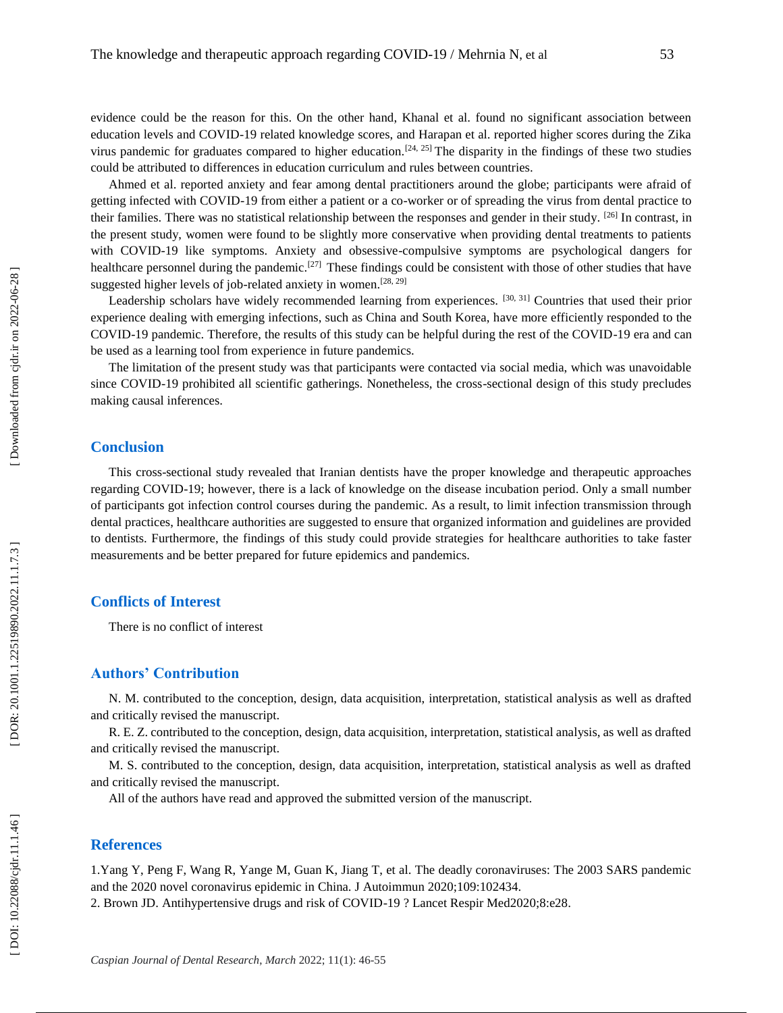evidence could be the reason for this. On the other hand, Khanal et al. found no significant association between education levels and COVID - 19 related knowledge scores, and Harapan et al. reported higher scores during the Zika virus pandemic for graduates compared to higher education.<sup>[24, 25]</sup> The disparity in the findings of these two studies could be attributed to differences in education curriculum and rules between countries.

Ahmed et al. reported anxiety and fear among dental practitioners around the globe; participants were afraid of getting infected with COVID -19 from either a patient or a co -worker or of spreading the virus from dental practice to their families. There was no statistical relationship between the responses and gender in their study. <sup>[26]</sup> In contrast, in the present study, women were found to be slightly more conservative when providing dental treatments to patients with COVID -19 like symptoms. Anxiety and obsessive -compulsive symptoms are psychological dangers for healthcare personnel during the pandemic.<sup>[27]</sup> These findings could be consistent with those of other studies that have suggested higher levels of job-related anxiety in women.<sup>[28, 29]</sup>

Leadership scholars have widely recommended learning from experiences. [30, 31] Countries that used their prior experience dealing with emerging infections, such as China and South Korea, have more efficiently responded to the COVID -19 pandemic. Therefore, the results of this study can be helpful during the rest of the COVID -19 era and can be used as a learning tool from experience in future pandemics.

The limitation of the present study was that participants were contacted via social media, which was unavoidable since COVID -19 prohibited all scientific gatherings. Nonetheless, the cross -sectional design of this study precludes making causal inferences.

## **Conclusion**

This cross -sectional study revealed that Iranian dentists have the proper knowledge and therapeutic approaches regarding COVID -19; however, there is a lack of knowledge on the disease incubation period. Only a small number of participants got infection control courses during the pandemic. As a result, to limit infection transmission through dental practices, healthcare authorities are suggested to ensure that organized information and guidelines are provided to dentists. Furthermore, the findings of this study could provide strategies for healthcare authorities to take faster measurements and be better prepared for future epidemics and pandemics.

## **Conflicts of Interest**

There is no conflict of interest

## **Authors' Contribution**

N. M. contributed to the conception, design, data acquisition, interpretation, statistical analysis as well as drafted and critically revised the manuscript.

R. E. Z. contributed to the conception, design, data acquisition, interpretation, statistical analysis, as well as drafted and critically revised the manuscript.

M. S. contributed to the conception, design, data acquisition, interpretation, statistical analysis as well as drafted and critically revised the manuscript.

All of the authors have read and approved the submitted version of the manuscript.

## **References**

1.Yang Y, Peng F, Wang R, Yange M, Guan K, Jiang T, et al. The deadly coronaviruses: The 2003 SARS pandemic and the 2020 novel coronavirus epidemic in China. J Autoimmun 2020;109:102434. 2. Brown JD. Antihypertensive drugs and risk of COVID -19 ? Lancet Respir Med2020;8:e28.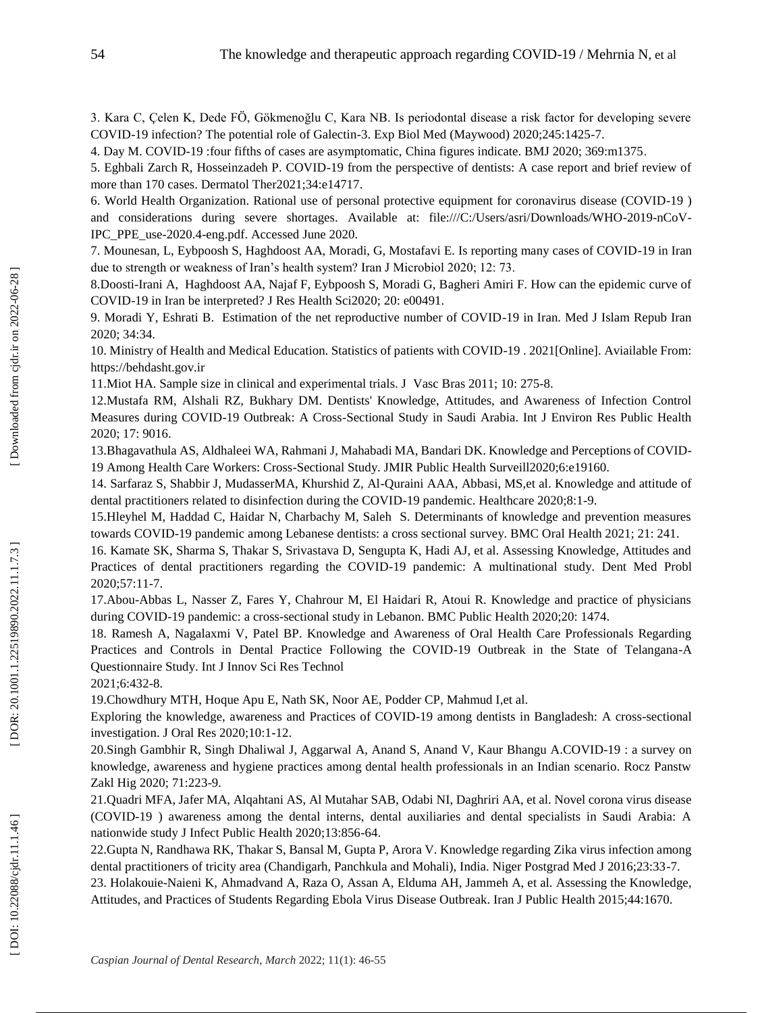3. Kara C, Çelen K, Dede FÖ, Gökmenoğlu C, Kara NB. Is periodontal disease a risk factor for developing severe COVID -19 infection? The potential role of Galectin -3. Exp Biol Med (Maywood) 2020;245:1425 -7.

4. Day M. COVID -19 :four fifths of cases are asymptomatic, China figures indicate. BMJ 2020; 369:m1375 .

5. Eghbali Zarch R, Hosseinzadeh P. COVID -19 from the perspective of dentists: A case report and brief review of more than 170 cases. Dermatol Ther2021;34:e14717.

6. World Health Organization . Rational use of personal protective equipment for coronavirus disease (COVID -19 ) and considerations during severe shortages. Available at: file:///C:/Users/asri/Downloads/WHO-2019-nCoV-IPC\_PPE\_use -2020.4 -eng.pdf. Accessed June 2020.

7. Mounesan, L, Eybpoosh S, Haghdoost AA, Moradi, G, Mostafavi E. Is reporting many cases of COVID -19 in Iran due to strength or weakness of Iran's health system? Iran J Microbiol 2020; 12: 73.

8.Doosti -Irani A, Haghdoost AA, Najaf F, Eybpoosh S, Moradi G, Bagheri Amiri F. How can the epidemic curve of COVID -19 in Iran be interpreted? J Res Health Sci2020; 20: e00491.

9. Moradi Y, Eshrati B. Estimation of the net reproductive number of COVID -19 in Iran. Med J Islam Repub Iran 2020; 34:34.

10. Ministry of Health and Medical Education. Statistics of patients with COVID -19 . 2021[Online]. Aviailable From: https://behdasht.gov.ir

11.Miot HA. Sample size in clinical and experimental trials. J Vasc Bras 2011; 10: 275 - 8 .

12.Mustafa RM, Alshali RZ, Bukhary DM. Dentists' Knowledge, Attitudes, and Awareness of Infection Control Measures during COVID -19 Outbreak: A Cross -Sectional Study in Saudi Arabia. Int J Environ Res Public Health 2020; 17: 9016.

13.Bhagavathula AS, Aldhaleei WA, Rahmani J, Mahabadi MA, Bandari DK. Knowledge and Perceptions of COVID - 19 Among Health Care Workers: Cross -Sectional Study. JMIR Public Health Surveill2020;6:e19160.

14. Sarfaraz S, Shabbir J, MudasserMA, Khurshid Z, Al -Quraini AAA, Abbasi, MS,et al. Knowledge and attitude of dental practitioners related to disinfection during the COVID -19 pandemic. Healthcare 2020;8:1 -9.

15.Hleyhel M, Haddad C, Haidar N, Charbachy M, Saleh S. Determinants of knowledge and prevention measures towards COVID -19 pandemic among Lebanese dentists: a cross sectional survey. BMC Oral Health 2021; 21: 241.

16. Kamate SK, Sharma S, Thakar S, Srivastava D, Sengupta K, Hadi AJ, et al. Assessing Knowledge, Attitudes and Practices of dental practitioners regarding the COVID -19 pandemic: A multinational study. Dent Med Probl 2020;57:11 -7.

17.Abou -Abbas L, Nasser Z, Fares Y, Chahrour M, El Haidari R, Atoui R. Knowledge and practice of physicians during COVID -19 pandemic: a cross -sectional study in Lebanon. BMC Public Health 2020;20: 1474.

18. Ramesh A, Nagalaxmi V, Patel BP. Knowledge and Awareness of Oral Health Care Professionals Regarding Practices and Controls in Dental Practice Following the COVID -19 Outbreak in the State of Telangana -A Questionnaire Study. Int J Innov Sci Res Technol

2021;6:432 -8.

19.Chowdhury MTH, Hoque Apu E, Nath SK, Noor AE, Podder CP, Mahmud I,et al.

Exploring the knowledge, awareness and Practices of COVID -19 among dentists in Bangladesh: A cross -sectional investigation. J Oral Res 2020;10:1 -12.

20.Singh Gambhir R, Singh Dhaliwal J, Aggarwal A, Anand S, Anand V, Kaur Bhangu A .COVID -19 : a survey on knowledge, awareness and hygiene practices among dental health professionals in an Indian scenario. Rocz Panstw Zakl Hig 2020; 71:223 -9.

21.Quadri MFA, Jafer MA, Alqahtani AS, Al Mutahar SAB, Odabi NI, Daghriri AA, et al. Novel corona virus disease (COVID -19 ) awareness among the dental interns, dental auxiliaries and dental specialists in Saudi Arabia: A nationwide study J Infect Public Health 2020;13:856 -64.

22.Gupta N, Randhawa RK, Thakar S, Bansal M, Gupta P, Arora V. Knowledge regarding Zika virus infection among dental practitioners of tricity area (Chandigarh, Panchkula and Mohali), India. Niger Postgrad Med J 2016;23:33 -7.

23. Holakouie -Naieni K, Ahmadvand A, Raza O, Assan A, Elduma AH, Jammeh A, et al. Assessing the Knowledge, Attitudes, and Practices of Students Regarding Ebola Virus Disease Outbreak. Iran J Public Health 2015;44:1670.